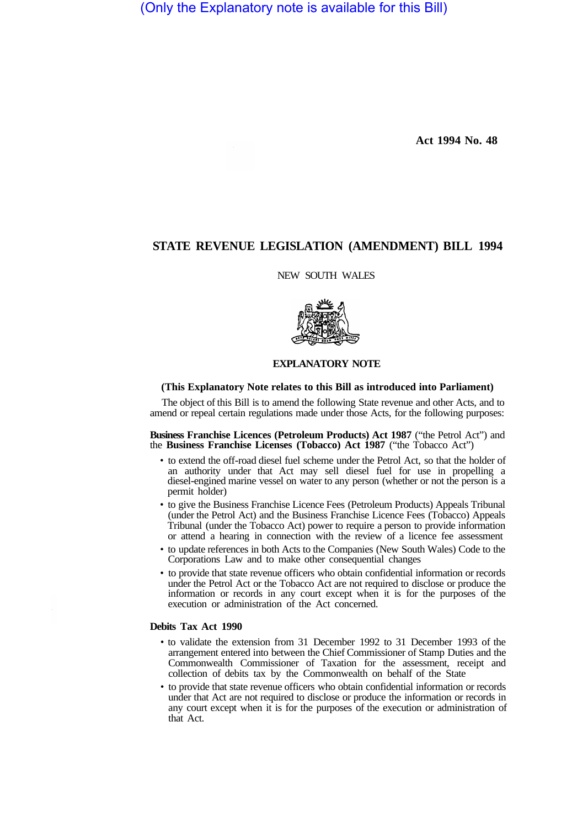(Only the Explanatory note is available for this Bill)

**Act 1994 No. 48** 

# **STATE REVENUE LEGISLATION (AMENDMENT) BILL 1994**

NEW SOUTH WALES



#### **EXPLANATORY NOTE**

#### **(This Explanatory Note relates to this Bill as introduced into Parliament)**

The object of this Bill is to amend the following State revenue and other Acts, and to amend or repeal certain regulations made under those Acts, for the following purposes:

**Business Franchise Licences (Petroleum Products) Act 1987** ("the Petrol Act") and the **Business Franchise Licenses (Tobacco) Act 1987** ("the Tobacco Act")

- to extend the off-road diesel fuel scheme under the Petrol Act, so that the holder of an authority under that Act may sell diesel fuel for use in propelling a diesel-engined marine vessel on water to any person (whether or not the person is a permit holder)
- to give the Business Franchise Licence Fees (Petroleum Products) Appeals Tribunal (under the Petrol Act) and the Business Franchise Licence Fees (Tobacco) Appeals Tribunal (under the Tobacco Act) power to require a person to provide information or attend a hearing in connection with the review of a licence fee assessment
- to update references in both Acts to the Companies (New South Wales) Code to the Corporations Law and to make other consequential changes
- to provide that state revenue officers who obtain confidential information or records under the Petrol Act or the Tobacco Act are not required to disclose or produce the information or records in any court except when it is for the purposes of the execution or administration of the Act concerned.

# **Debits Tax Act 1990**

- to validate the extension from 31 December 1992 to 31 December 1993 of the arrangement entered into between the Chief Commissioner of Stamp Duties and the Commonwealth Commissioner of Taxation for the assessment, receipt and collection of debits tax by the Commonwealth on behalf of the State
- to provide that state revenue officers who obtain confidential information or records under that Act are not required to disclose or produce the information or records in any court except when it is for the purposes of the execution or administration of that Act.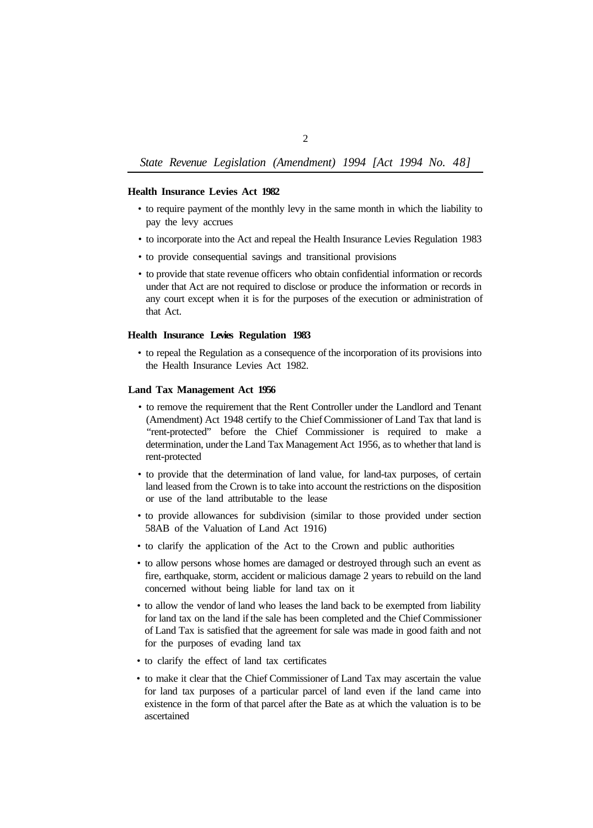## **Health Insurance Levies Act 1982**

- to require payment of the monthly levy in the same month in which the liability to pay the levy accrues
- to incorporate into the Act and repeal the Health Insurance Levies Regulation 1983
- to provide consequential savings and transitional provisions
- to provide that state revenue officers who obtain confidential information or records under that Act are not required to disclose or produce the information or records in any court except when it is for the purposes of the execution or administration of that Act.

### **Health Insurance Levies Regulation 1983**

• to repeal the Regulation as a consequence of the incorporation of its provisions into the Health Insurance Levies Act 1982.

## **Land Tax Management Act 1956**

- to remove the requirement that the Rent Controller under the Landlord and Tenant (Amendment) Act 1948 certify to the Chief Commissioner of Land Tax that land is "rent-protected" before the Chief Commissioner is required to make a determination, under the Land Tax Management Act 1956, as to whether that land is rent-protected
- to provide that the determination of land value, for land-tax purposes, of certain land leased from the Crown is to take into account the restrictions on the disposition or use of the land attributable to the lease
- to provide allowances for subdivision (similar to those provided under section 58AB of the Valuation of Land Act 1916)
- to clarify the application of the Act to the Crown and public authorities
- to allow persons whose homes are damaged or destroyed through such an event as fire, earthquake, storm, accident or malicious damage 2 years to rebuild on the land concerned without being liable for land tax on it
- to allow the vendor of land who leases the land back to be exempted from liability for land tax on the land if the sale has been completed and the Chief Commissioner of Land Tax is satisfied that the agreement for sale was made in good faith and not for the purposes of evading land tax
- to clarify the effect of land tax certificates
- to make it clear that the Chief Commissioner of Land Tax may ascertain the value for land tax purposes of a particular parcel of land even if the land came into existence in the form of that parcel after the Bate as at which the valuation is to be ascertained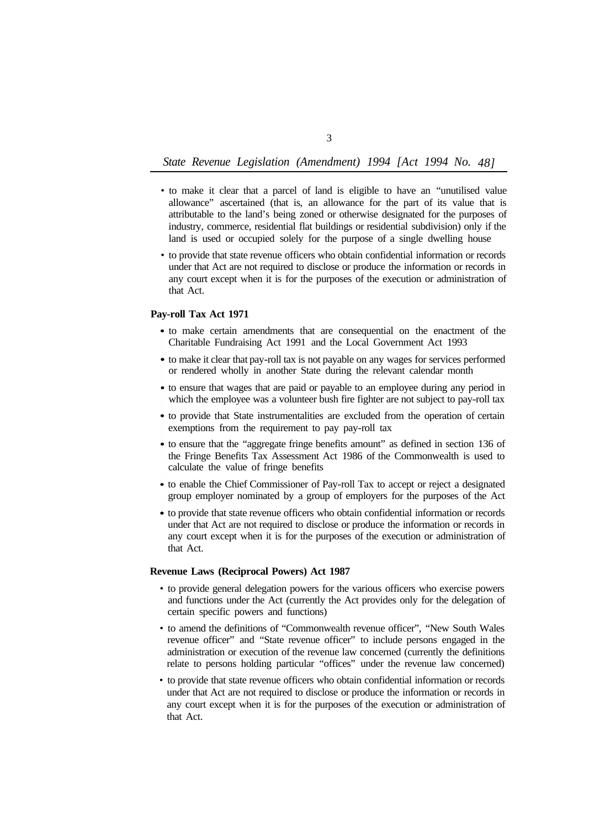- to make it clear that a parcel of land is eligible to have an "unutilised value allowance" ascertained (that is, an allowance for the part of its value that is attributable to the land's being zoned or otherwise designated for the purposes of industry, commerce, residential flat buildings or residential subdivision) only if the land is used or occupied solely for the purpose of a single dwelling house
- to provide that state revenue officers who obtain confidential information or records under that Act are not required to disclose or produce the information or records in any court except when it is for the purposes of the execution or administration of that Act.

## **Pay-roll Tax Act 1971**

- to make certain amendments that are consequential on the enactment of the Charitable Fundraising Act 1991 and the Local Government Act 1993
- to make it clear that pay-roll tax is not payable on any wages for services performed or rendered wholly in another State during the relevant calendar month
- to ensure that wages that are paid or payable to an employee during any period in which the employee was a volunteer bush fire fighter are not subject to pay-roll tax
- to provide that State instrumentalities are excluded from the operation of certain exemptions from the requirement to pay pay-roll tax
- to ensure that the "aggregate fringe benefits amount" as defined in section 136 of the Fringe Benefits Tax Assessment Act 1986 of the Commonwealth is used to calculate the value of fringe benefits
- to enable the Chief Commissioner of Pay-roll Tax to accept or reject a designated group employer nominated by a group of employers for the purposes of the Act
- to provide that state revenue officers who obtain confidential information or records under that Act are not required to disclose or produce the information or records in any court except when it is for the purposes of the execution or administration of that Act.

### **Revenue Laws (Reciprocal Powers) Act 1987**

- to provide general delegation powers for the various officers who exercise powers and functions under the Act (currently the Act provides only for the delegation of certain specific powers and functions)
- to amend the definitions of "Commonwealth revenue officer", "New South Wales revenue officer" and "State revenue officer" to include persons engaged in the administration or execution of the revenue law concerned (currently the definitions relate to persons holding particular "offices" under the revenue law concerned)
- to provide that state revenue officers who obtain confidential information or records under that Act are not required to disclose or produce the information or records in any court except when it is for the purposes of the execution or administration of that Act.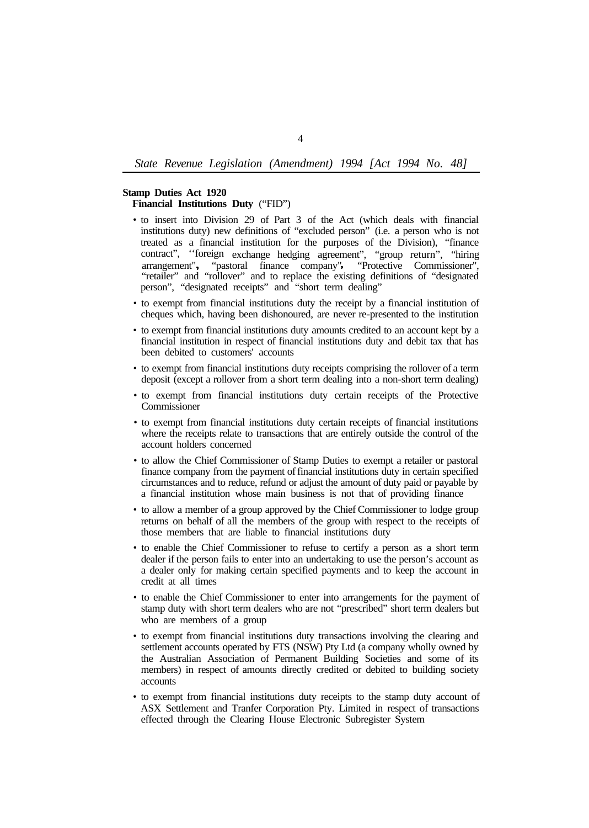### **Stamp Duties Act 1920**

**Financial Institutions Duty** ("FID")

- to insert into Division 29 of Part 3 of the Act (which deals with financial institutions duty) new definitions of "excluded person" (i.e. a person who is not treated as a financial institution for the purposes of the Division), "finance contract", ''foreign exchange hedging agreement", "group return", "hiring arrangement", "pastoral finance company", "Protective Commissioner", "retailer" and "rollover" and to replace the existing definitions of "designated person", "designated receipts" and "short term dealing"
- to exempt from financial institutions duty the receipt by a financial institution of cheques which, having been dishonoured, are never re-presented to the institution
- to exempt from financial institutions duty amounts credited to an account kept by a financial institution in respect of financial institutions duty and debit tax that has been debited to customers' accounts
- to exempt from financial institutions duty receipts comprising the rollover of a term deposit (except a rollover from a short term dealing into a non-short term dealing)
- to exempt from financial institutions duty certain receipts of the Protective Commissioner
- to exempt from financial institutions duty certain receipts of financial institutions where the receipts relate to transactions that are entirely outside the control of the account holders concerned
- to allow the Chief Commissioner of Stamp Duties to exempt a retailer or pastoral finance company from the payment of financial institutions duty in certain specified circumstances and to reduce, refund or adjust the amount of duty paid or payable by a financial institution whose main business is not that of providing finance
- to allow a member of a group approved by the Chief Commissioner to lodge group returns on behalf of all the members of the group with respect to the receipts of those members that are liable to financial institutions duty
- to enable the Chief Commissioner to refuse to certify a person as a short term dealer if the person fails to enter into an undertaking to use the person's account as a dealer only for making certain specified payments and to keep the account in credit at all times
- to enable the Chief Commissioner to enter into arrangements for the payment of stamp duty with short term dealers who are not "prescribed" short term dealers but who are members of a group
- to exempt from financial institutions duty transactions involving the clearing and settlement accounts operated by FTS (NSW) Pty Ltd (a company wholly owned by the Australian Association of Permanent Building Societies and some of its members) in respect of amounts directly credited or debited to building society accounts
- to exempt from financial institutions duty receipts to the stamp duty account of ASX Settlement and Tranfer Corporation Pty. Limited in respect of transactions effected through the Clearing House Electronic Subregister System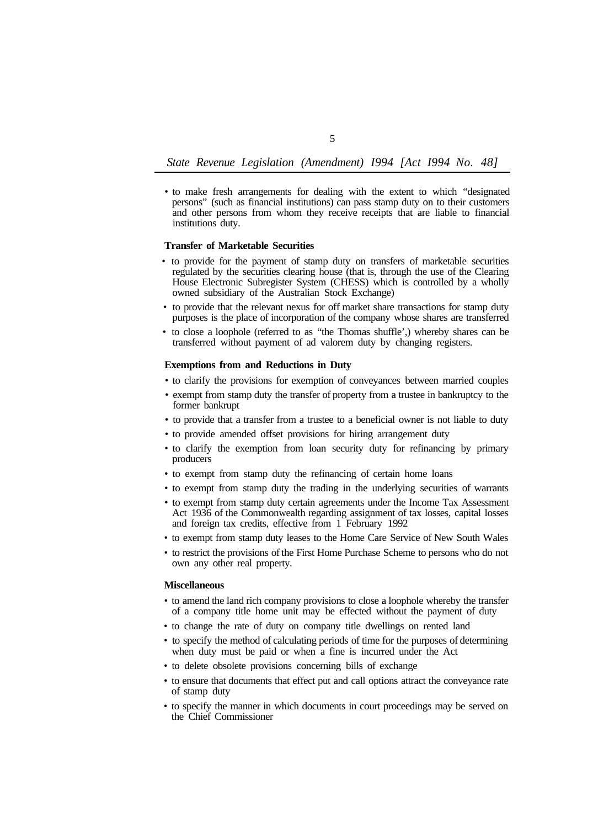- *State Revenue Legislation (Amendment) I994 [Act I994 No. 48]*
- to make fresh arrangements for dealing with the extent to which "designated persons" (such as financial institutions) can pass stamp duty on to their customers and other persons from whom they receive receipts that are liable to financial institutions duty.

#### **Transfer of Marketable Securities**

- to provide for the payment of stamp duty on transfers of marketable securities regulated by the securities clearing house (that is, through the use of the Clearing House Electronic Subregister System (CHESS) which is controlled by a wholly owned subsidiary of the Australian Stock Exchange)
- to provide that the relevant nexus for off market share transactions for stamp duty purposes is the place of incorporation of the company whose shares are transferred
- to close a loophole (referred to as "the Thomas shuffle',) whereby shares can be transferred without payment of ad valorem duty by changing registers.

# **Exemptions from and Reductions in Duty**

- to clarify the provisions for exemption of conveyances between married couples
- exempt from stamp duty the transfer of property from a trustee in bankruptcy to the former bankrupt
- to provide that a transfer from a trustee to a beneficial owner is not liable to duty
- to provide amended offset provisions for hiring arrangement duty
- to clarify the exemption from loan security duty for refinancing by primary producers
- to exempt from stamp duty the refinancing of certain home loans
- to exempt from stamp duty the trading in the underlying securities of warrants
- to exempt from stamp duty certain agreements under the Income Tax Assessment Act 1936 of the Commonwealth regarding assignment of tax losses, capital losses and foreign tax credits, effective from 1 February 1992
- to exempt from stamp duty leases to the Home Care Service of New South Wales
- to restrict the provisions of the First Home Purchase Scheme to persons who do not own any other real property.

#### **Miscellaneous**

- to amend the land rich company provisions to close a loophole whereby the transfer of a company title home unit may be effected without the payment of duty
- to change the rate of duty on company title dwellings on rented land
- to specify the method of calculating periods of time for the purposes of determining when duty must be paid or when a fine is incurred under the Act
- to delete obsolete provisions concerning bills of exchange
- to ensure that documents that effect put and call options attract the conveyance rate of stamp duty
- to specify the manner in which documents in court proceedings may be served on the Chief Commissioner